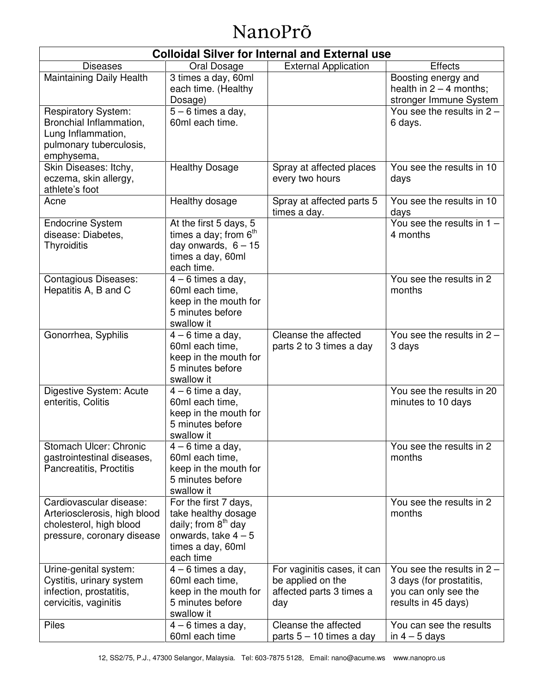# NanoPrõ

| <b>Colloidal Silver for Internal and External use</b>                                                                |                                                                                                                                          |                                                                                     |                                                                                                         |
|----------------------------------------------------------------------------------------------------------------------|------------------------------------------------------------------------------------------------------------------------------------------|-------------------------------------------------------------------------------------|---------------------------------------------------------------------------------------------------------|
| <b>Diseases</b>                                                                                                      | Oral Dosage                                                                                                                              | <b>External Application</b>                                                         | <b>Effects</b>                                                                                          |
| Maintaining Daily Health                                                                                             | 3 times a day, 60ml<br>each time. (Healthy<br>Dosage)                                                                                    |                                                                                     | Boosting energy and<br>health in $2 - 4$ months;<br>stronger Immune System                              |
| <b>Respiratory System:</b><br>Bronchial Inflammation,<br>Lung Inflammation,<br>pulmonary tuberculosis,<br>emphysema, | $5 - 6$ times a day,<br>60ml each time.                                                                                                  |                                                                                     | You see the results in $2 -$<br>6 days.                                                                 |
| Skin Diseases: Itchy,<br>eczema, skin allergy,<br>athlete's foot                                                     | <b>Healthy Dosage</b>                                                                                                                    | Spray at affected places<br>every two hours                                         | You see the results in 10<br>days                                                                       |
| Acne                                                                                                                 | Healthy dosage                                                                                                                           | Spray at affected parts 5<br>times a day.                                           | You see the results in 10<br>days                                                                       |
| <b>Endocrine System</b><br>disease: Diabetes,<br><b>Thyroiditis</b>                                                  | At the first 5 days, 5<br>times a day; from $6th$<br>day onwards, $6 - 15$<br>times a day, 60ml<br>each time.                            |                                                                                     | You see the results in $1 -$<br>4 months                                                                |
| <b>Contagious Diseases:</b><br>Hepatitis A, B and C                                                                  | $4 - 6$ times a day,<br>60ml each time,<br>keep in the mouth for<br>5 minutes before<br>swallow it                                       |                                                                                     | You see the results in 2<br>months                                                                      |
| Gonorrhea, Syphilis                                                                                                  | $4 - 6$ time a day,<br>60ml each time,<br>keep in the mouth for<br>5 minutes before<br>swallow it                                        | Cleanse the affected<br>parts 2 to 3 times a day                                    | You see the results in $2 -$<br>3 days                                                                  |
| Digestive System: Acute<br>enteritis, Colitis                                                                        | $4 - 6$ time a day,<br>60ml each time,<br>keep in the mouth for<br>5 minutes before<br>swallow it                                        |                                                                                     | You see the results in 20<br>minutes to 10 days                                                         |
| Stomach Ulcer: Chronic<br>gastrointestinal diseases,<br>Pancreatitis, Proctitis                                      | $4 - 6$ time a day,<br>60ml each time,<br>keep in the mouth for<br>5 minutes before<br>swallow it                                        |                                                                                     | You see the results in 2<br>months                                                                      |
| Cardiovascular disease:<br>Arteriosclerosis, high blood<br>cholesterol, high blood<br>pressure, coronary disease     | For the first 7 days,<br>take healthy dosage<br>daily; from 8 <sup>th</sup> day<br>onwards, take $4-5$<br>times a day, 60ml<br>each time |                                                                                     | You see the results in 2<br>months                                                                      |
| Urine-genital system:<br>Cystitis, urinary system<br>infection, prostatitis,<br>cervicitis, vaginitis                | $4 - 6$ times a day,<br>60ml each time,<br>keep in the mouth for<br>5 minutes before<br>swallow it                                       | For vaginitis cases, it can<br>be applied on the<br>affected parts 3 times a<br>day | You see the results in $2 -$<br>3 days (for prostatitis,<br>you can only see the<br>results in 45 days) |
| Piles                                                                                                                | $4 - 6$ times a day,<br>60ml each time                                                                                                   | Cleanse the affected<br>parts 5 - 10 times a day                                    | You can see the results<br>in $4-5$ days                                                                |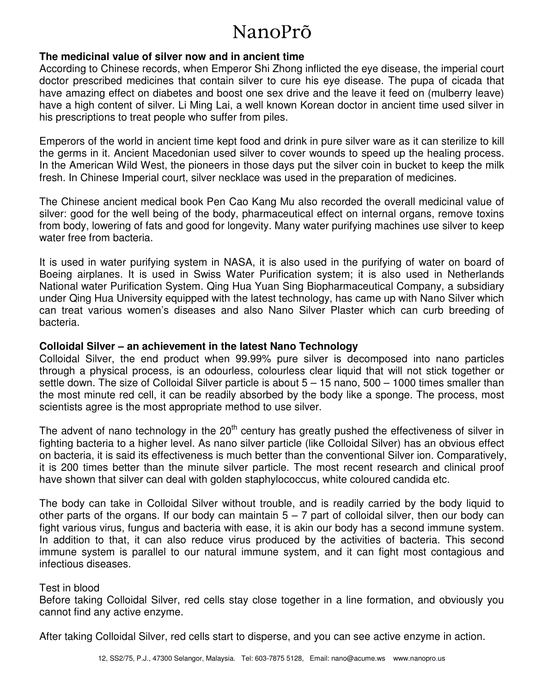# NanoPrõ

### **The medicinal value of silver now and in ancient time**

According to Chinese records, when Emperor Shi Zhong inflicted the eye disease, the imperial court doctor prescribed medicines that contain silver to cure his eye disease. The pupa of cicada that have amazing effect on diabetes and boost one sex drive and the leave it feed on (mulberry leave) have a high content of silver. Li Ming Lai, a well known Korean doctor in ancient time used silver in his prescriptions to treat people who suffer from piles.

Emperors of the world in ancient time kept food and drink in pure silver ware as it can sterilize to kill the germs in it. Ancient Macedonian used silver to cover wounds to speed up the healing process. In the American Wild West, the pioneers in those days put the silver coin in bucket to keep the milk fresh. In Chinese Imperial court, silver necklace was used in the preparation of medicines.

The Chinese ancient medical book Pen Cao Kang Mu also recorded the overall medicinal value of silver: good for the well being of the body, pharmaceutical effect on internal organs, remove toxins from body, lowering of fats and good for longevity. Many water purifying machines use silver to keep water free from bacteria.

It is used in water purifying system in NASA, it is also used in the purifying of water on board of Boeing airplanes. It is used in Swiss Water Purification system; it is also used in Netherlands National water Purification System. Qing Hua Yuan Sing Biopharmaceutical Company, a subsidiary under Qing Hua University equipped with the latest technology, has came up with Nano Silver which can treat various women's diseases and also Nano Silver Plaster which can curb breeding of bacteria.

### **Colloidal Silver – an achievement in the latest Nano Technology**

Colloidal Silver, the end product when 99.99% pure silver is decomposed into nano particles through a physical process, is an odourless, colourless clear liquid that will not stick together or settle down. The size of Colloidal Silver particle is about 5 – 15 nano, 500 – 1000 times smaller than the most minute red cell, it can be readily absorbed by the body like a sponge. The process, most scientists agree is the most appropriate method to use silver.

The advent of nano technology in the 20<sup>th</sup> century has greatly pushed the effectiveness of silver in fighting bacteria to a higher level. As nano silver particle (like Colloidal Silver) has an obvious effect on bacteria, it is said its effectiveness is much better than the conventional Silver ion. Comparatively, it is 200 times better than the minute silver particle. The most recent research and clinical proof have shown that silver can deal with golden staphylococcus, white coloured candida etc.

The body can take in Colloidal Silver without trouble, and is readily carried by the body liquid to other parts of the organs. If our body can maintain  $5 - 7$  part of colloidal silver, then our body can fight various virus, fungus and bacteria with ease, it is akin our body has a second immune system. In addition to that, it can also reduce virus produced by the activities of bacteria. This second immune system is parallel to our natural immune system, and it can fight most contagious and infectious diseases.

#### Test in blood

Before taking Colloidal Silver, red cells stay close together in a line formation, and obviously you cannot find any active enzyme.

After taking Colloidal Silver, red cells start to disperse, and you can see active enzyme in action.